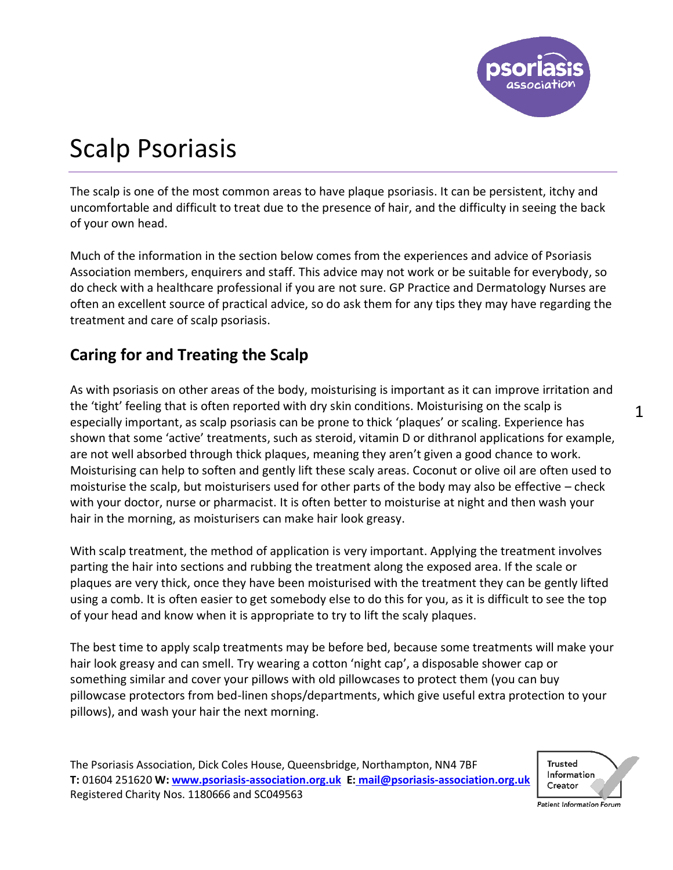

# Scalp Psoriasis

The scalp is one of the most common areas to have plaque psoriasis. It can be persistent, itchy and uncomfortable and difficult to treat due to the presence of hair, and the difficulty in seeing the back of your own head.

Much of the information in the section below comes from the experiences and advice of Psoriasis Association members, enquirers and staff. This advice may not work or be suitable for everybody, so do check with a healthcare professional if you are not sure. GP Practice and Dermatology Nurses are often an excellent source of practical advice, so do ask them for any tips they may have regarding the treatment and care of scalp psoriasis.

## **Caring for and Treating the Scalp**

As with psoriasis on other areas of the body, moisturising is important as it can improve irritation and the 'tight' feeling that is often reported with dry skin conditions. Moisturising on the scalp is especially important, as scalp psoriasis can be prone to thick 'plaques' or scaling. Experience has shown that some 'active' treatments, such as steroid, vitamin D or dithranol applications for example, are not well absorbed through thick plaques, meaning they aren't given a good chance to work. Moisturising can help to soften and gently lift these scaly areas. Coconut or olive oil are often used to moisturise the scalp, but moisturisers used for other parts of the body may also be effective – check with your doctor, nurse or pharmacist. It is often better to moisturise at night and then wash your hair in the morning, as moisturisers can make hair look greasy.

With scalp treatment, the method of application is very important. Applying the treatment involves parting the hair into sections and rubbing the treatment along the exposed area. If the scale or plaques are very thick, once they have been moisturised with the treatment they can be gently lifted using a comb. It is often easier to get somebody else to do this for you, as it is difficult to see the top of your head and know when it is appropriate to try to lift the scaly plaques.

The best time to apply scalp treatments may be before bed, because some treatments will make your hair look greasy and can smell. Try wearing a cotton 'night cap', a disposable shower cap or something similar and cover your pillows with old pillowcases to protect them (you can buy pillowcase protectors from bed-linen shops/departments, which give useful extra protection to your pillows), and wash your hair the next morning.

The Psoriasis Association, Dick Coles House, Queensbridge, Northampton, NN4 7BF **T:** 01604 251620 **W[: www.psoriasis-association.org.uk](http://www.psoriasis-association.org.uk/) E: [mail@psoriasis-association.org.uk](mailto:E:%20mail@psoriasis-association.org.uk)** Registered Charity Nos. 1180666 and SC049563



1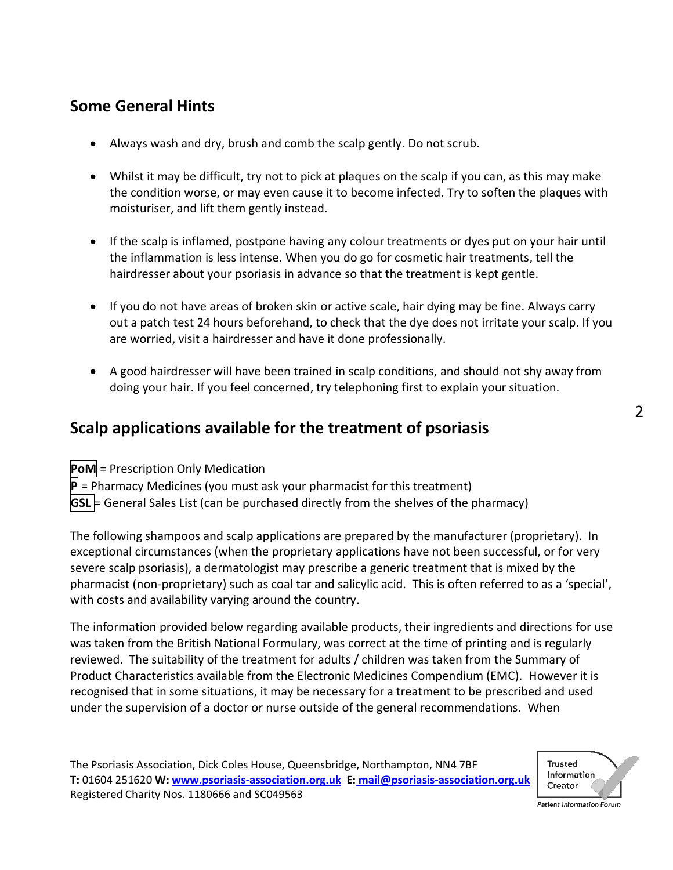## **Some General Hints**

- Always wash and dry, brush and comb the scalp gently. Do not scrub.
- Whilst it may be difficult, try not to pick at plaques on the scalp if you can, as this may make the condition worse, or may even cause it to become infected. Try to soften the plaques with moisturiser, and lift them gently instead.
- If the scalp is inflamed, postpone having any colour treatments or dyes put on your hair until the inflammation is less intense. When you do go for cosmetic hair treatments, tell the hairdresser about your psoriasis in advance so that the treatment is kept gentle.
- If you do not have areas of broken skin or active scale, hair dying may be fine. Always carry out a patch test 24 hours beforehand, to check that the dye does not irritate your scalp. If you are worried, visit a hairdresser and have it done professionally.
- A good hairdresser will have been trained in scalp conditions, and should not shy away from doing your hair. If you feel concerned, try telephoning first to explain your situation.

## **Scalp applications available for the treatment of psoriasis**

PoM = Prescription Only Medication

**P** = Pharmacy Medicines (you must ask your pharmacist for this treatment)

 $|GSL|$  = General Sales List (can be purchased directly from the shelves of the pharmacy)

The following shampoos and scalp applications are prepared by the manufacturer (proprietary). In exceptional circumstances (when the proprietary applications have not been successful, or for very severe scalp psoriasis), a dermatologist may prescribe a generic treatment that is mixed by the pharmacist (non-proprietary) such as coal tar and salicylic acid. This is often referred to as a 'special', with costs and availability varying around the country.

The information provided below regarding available products, their ingredients and directions for use was taken from the British National Formulary, was correct at the time of printing and is regularly reviewed. The suitability of the treatment for adults / children was taken from the Summary of Product Characteristics available from the Electronic Medicines Compendium (EMC). However it is recognised that in some situations, it may be necessary for a treatment to be prescribed and used under the supervision of a doctor or nurse outside of the general recommendations. When



 $\overline{2}$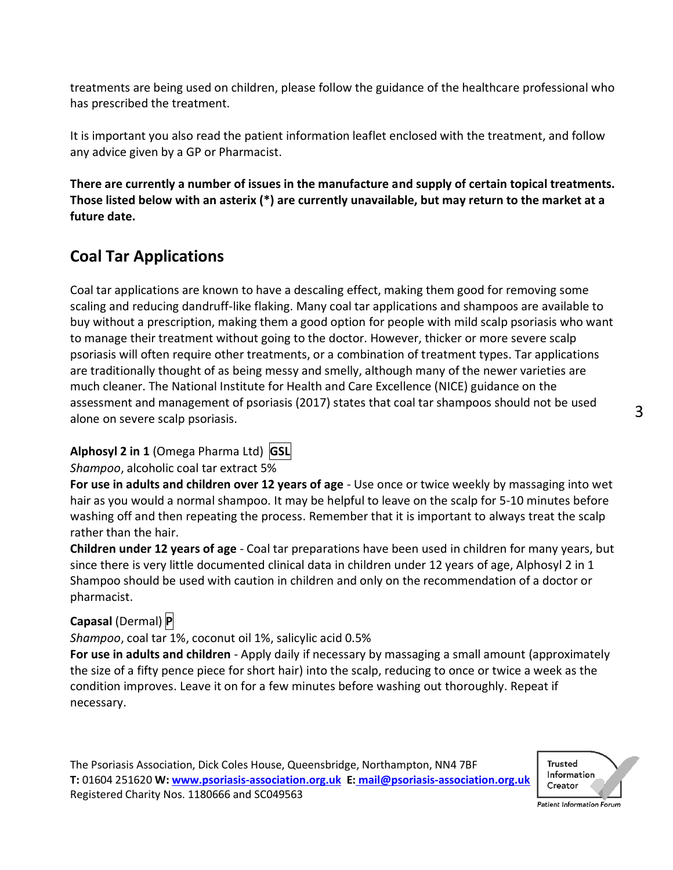treatments are being used on children, please follow the guidance of the healthcare professional who has prescribed the treatment.

It is important you also read the patient information leaflet enclosed with the treatment, and follow any advice given by a GP or Pharmacist.

**There are currently a number of issues in the manufacture and supply of certain topical treatments. Those listed below with an asterix (\*) are currently unavailable, but may return to the market at a future date.** 

## **Coal Tar Applications**

Coal tar applications are known to have a descaling effect, making them good for removing some scaling and reducing dandruff-like flaking. Many coal tar applications and shampoos are available to buy without a prescription, making them a good option for people with mild scalp psoriasis who want to manage their treatment without going to the doctor. However, thicker or more severe scalp psoriasis will often require other treatments, or a combination of treatment types. Tar applications are traditionally thought of as being messy and smelly, although many of the newer varieties are much cleaner. The National Institute for Health and Care Excellence (NICE) guidance on the assessment and management of psoriasis (2017) states that coal tar shampoos should not be used alone on severe scalp psoriasis.

**Alphosyl 2 in 1** (Omega Pharma Ltd) **GSL**

*Shampoo*, alcoholic coal tar extract 5%

**For use in adults and children over 12 years of age** - Use once or twice weekly by massaging into wet hair as you would a normal shampoo. It may be helpful to leave on the scalp for 5-10 minutes before washing off and then repeating the process. Remember that it is important to always treat the scalp rather than the hair.

**Children under 12 years of age** - Coal tar preparations have been used in children for many years, but since there is very little documented clinical data in children under 12 years of age, Alphosyl 2 in 1 Shampoo should be used with caution in children and only on the recommendation of a doctor or pharmacist.

### **Capasal** (Dermal) **P**

*Shampoo*, coal tar 1%, coconut oil 1%, salicylic acid 0.5%

**For use in adults and children** - Apply daily if necessary by massaging a small amount (approximately the size of a fifty pence piece for short hair) into the scalp, reducing to once or twice a week as the condition improves. Leave it on for a few minutes before washing out thoroughly. Repeat if necessary.



3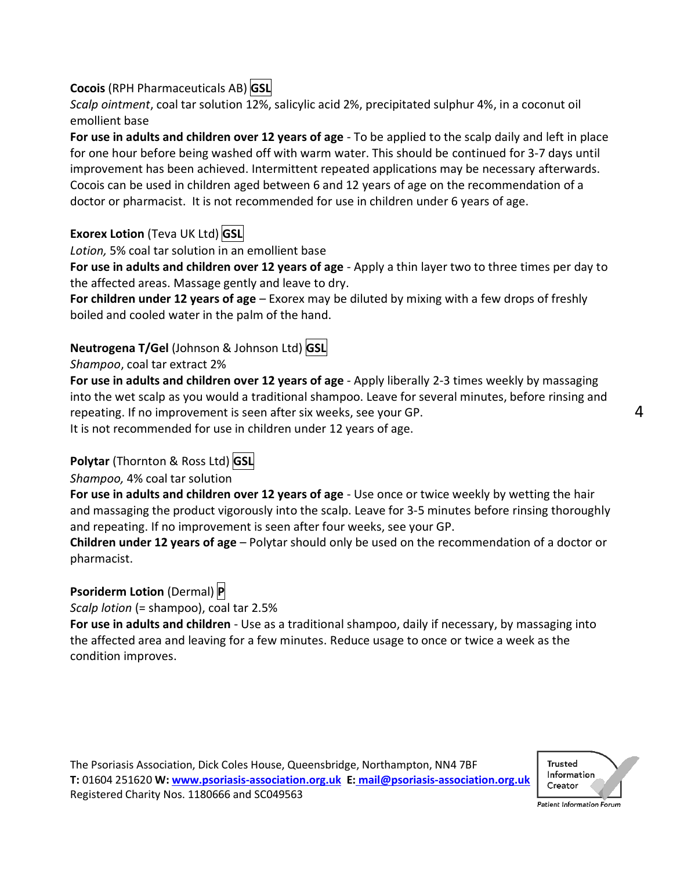### **Cocois** (RPH Pharmaceuticals AB) **GSL**

*Scalp ointment*, coal tar solution 12%, salicylic acid 2%, precipitated sulphur 4%, in a coconut oil emollient base

**For use in adults and children over 12 years of age** - To be applied to the scalp daily and left in place for one hour before being washed off with warm water. This should be continued for 3-7 days until improvement has been achieved. Intermittent repeated applications may be necessary afterwards. Cocois can be used in children aged between 6 and 12 years of age on the recommendation of a doctor or pharmacist. It is not recommended for use in children under 6 years of age.

## **Exorex Lotion** (Teva UK Ltd) **GSL**

*Lotion,* 5% coal tar solution in an emollient base

**For use in adults and children over 12 years of age** - Apply a thin layer two to three times per day to the affected areas. Massage gently and leave to dry.

**For children under 12 years of age** – Exorex may be diluted by mixing with a few drops of freshly boiled and cooled water in the palm of the hand.

## **Neutrogena T/Gel** (Johnson & Johnson Ltd) **GSL**

#### *Shampoo*, coal tar extract 2%

**For use in adults and children over 12 years of age** - Apply liberally 2-3 times weekly by massaging into the wet scalp as you would a traditional shampoo. Leave for several minutes, before rinsing and repeating. If no improvement is seen after six weeks, see your GP. It is not recommended for use in children under 12 years of age.

## **Polytar** (Thornton & Ross Ltd) **GSL**

### *Shampoo,* 4% coal tar solution

**For use in adults and children over 12 years of age** - Use once or twice weekly by wetting the hair and massaging the product vigorously into the scalp. Leave for 3-5 minutes before rinsing thoroughly and repeating. If no improvement is seen after four weeks, see your GP.

**Children under 12 years of age** – Polytar should only be used on the recommendation of a doctor or pharmacist.

## **Psoriderm Lotion** (Dermal) **P**

*Scalp lotion* (= shampoo), coal tar 2.5%

**For use in adults and children** - Use as a traditional shampoo, daily if necessary, by massaging into the affected area and leaving for a few minutes. Reduce usage to once or twice a week as the condition improves.

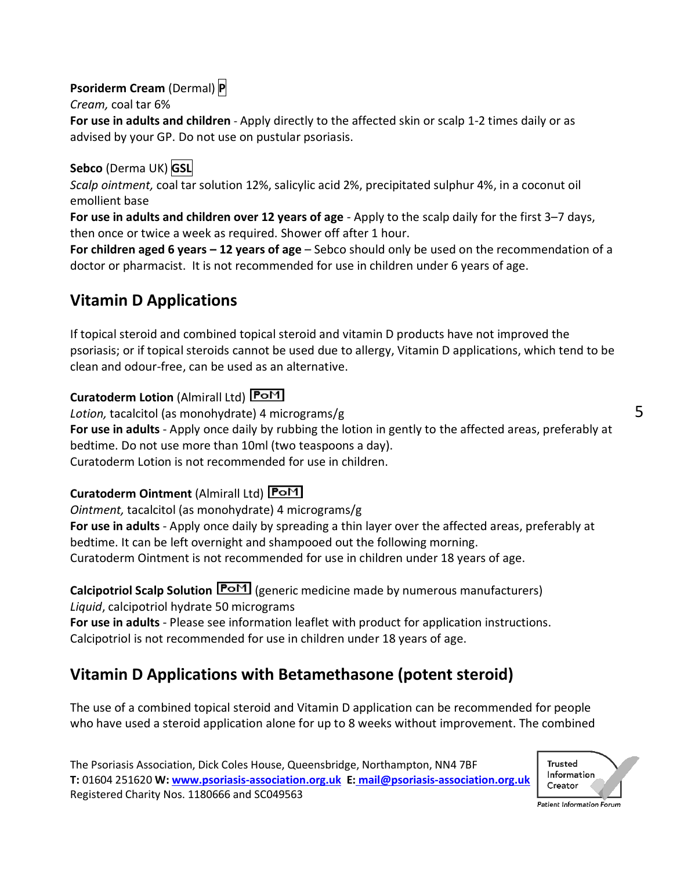## **Psoriderm Cream** (Dermal) **P**

*Cream,* coal tar 6%

**For use in adults and children** - Apply directly to the affected skin or scalp 1-2 times daily or as advised by your GP. Do not use on pustular psoriasis.

## **Sebco** (Derma UK) **GSL**

*Scalp ointment,* coal tar solution 12%, salicylic acid 2%, precipitated sulphur 4%, in a coconut oil emollient base

**For use in adults and children over 12 years of age** - Apply to the scalp daily for the first 3–7 days, then once or twice a week as required. Shower off after 1 hour.

**For children aged 6 years – 12 years of age** – Sebco should only be used on the recommendation of a doctor or pharmacist. It is not recommended for use in children under 6 years of age.

## **Vitamin D Applications**

If topical steroid and combined topical steroid and vitamin D products have not improved the psoriasis; or if topical steroids cannot be used due to allergy, Vitamin D applications, which tend to be clean and odour-free, can be used as an alternative.

## **Curatoderm Lotion** (Almirall Ltd)

*Lotion,* tacalcitol (as monohydrate) 4 micrograms/g

**For use in adults** - Apply once daily by rubbing the lotion in gently to the affected areas, preferably at bedtime. Do not use more than 10ml (two teaspoons a day). Curatoderm Lotion is not recommended for use in children.

### **Curatoderm Ointment** (Almirall Ltd)

*Ointment,* tacalcitol (as monohydrate) 4 micrograms/g

**For use in adults** - Apply once daily by spreading a thin layer over the affected areas, preferably at bedtime. It can be left overnight and shampooed out the following morning.

Curatoderm Ointment is not recommended for use in children under 18 years of age.

#### **Calcipotriol Scalp Solution <b>PoM** (generic medicine made by numerous manufacturers) *Liquid*, calcipotriol hydrate 50 micrograms

**For use in adults** - Please see information leaflet with product for application instructions. Calcipotriol is not recommended for use in children under 18 years of age.

## **Vitamin D Applications with Betamethasone (potent steroid)**

The use of a combined topical steroid and Vitamin D application can be recommended for people who have used a steroid application alone for up to 8 weeks without improvement. The combined

The Psoriasis Association, Dick Coles House, Queensbridge, Northampton, NN4 7BF **T:** 01604 251620 **W[: www.psoriasis-association.org.uk](http://www.psoriasis-association.org.uk/) E: [mail@psoriasis-association.org.uk](mailto:E:%20mail@psoriasis-association.org.uk)** Registered Charity Nos. 1180666 and SC049563



Patient Information Forum

5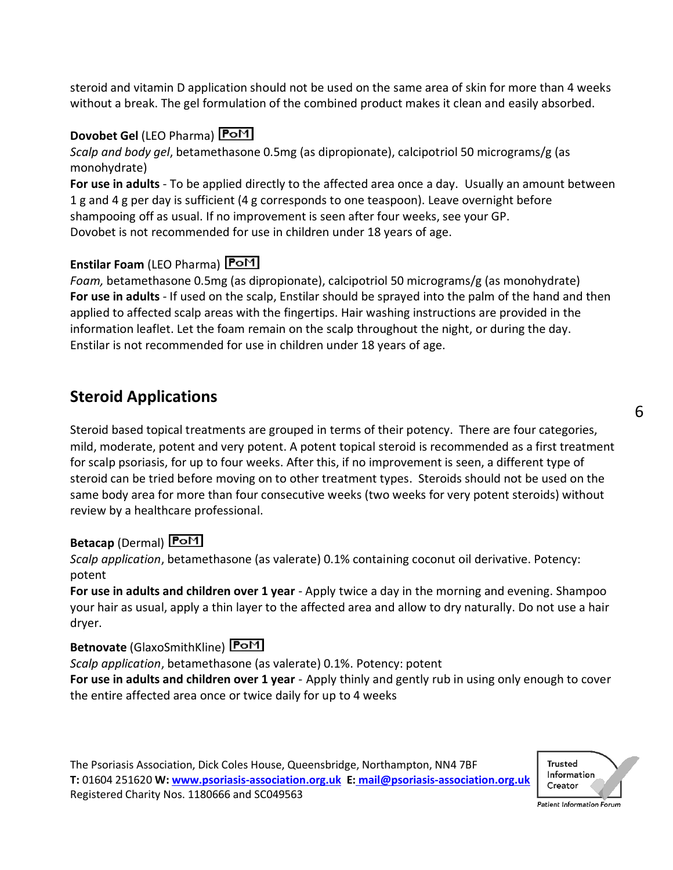steroid and vitamin D application should not be used on the same area of skin for more than 4 weeks without a break. The gel formulation of the combined product makes it clean and easily absorbed.

#### **Dovobet Gel** (LEO Pharma)

*Scalp and body gel*, betamethasone 0.5mg (as dipropionate), calcipotriol 50 micrograms/g (as monohydrate)

**For use in adults** - To be applied directly to the affected area once a day. Usually an amount between 1 g and 4 g per day is sufficient (4 g corresponds to one teaspoon). Leave overnight before shampooing off as usual. If no improvement is seen after four weeks, see your GP. Dovobet is not recommended for use in children under 18 years of age.

#### **Enstilar Foam** (LEO Pharma)

*Foam,* betamethasone 0.5mg (as dipropionate), calcipotriol 50 micrograms/g (as monohydrate) **For use in adults** - If used on the scalp, Enstilar should be sprayed into the palm of the hand and then applied to affected scalp areas with the fingertips. Hair washing instructions are provided in the information leaflet. Let the foam remain on the scalp throughout the night, or during the day. Enstilar is not recommended for use in children under 18 years of age.

## **Steroid Applications**

Steroid based topical treatments are grouped in terms of their potency. There are four categories, mild, moderate, potent and very potent. A potent topical steroid is recommended as a first treatment for scalp psoriasis, for up to four weeks. After this, if no improvement is seen, a different type of steroid can be tried before moving on to other treatment types. Steroids should not be used on the same body area for more than four consecutive weeks (two weeks for very potent steroids) without review by a healthcare professional.

#### **Betacap** (Dermal)

*Scalp application*, betamethasone (as valerate) 0.1% containing coconut oil derivative. Potency: potent

**For use in adults and children over 1 year** - Apply twice a day in the morning and evening. Shampoo your hair as usual, apply a thin layer to the affected area and allow to dry naturally. Do not use a hair dryer.

#### **Betnovate** (GlaxoSmithKline) **PoM**

*Scalp application*, betamethasone (as valerate) 0.1%. Potency: potent **For use in adults and children over 1 year** - Apply thinly and gently rub in using only enough to cover the entire affected area once or twice daily for up to 4 weeks



6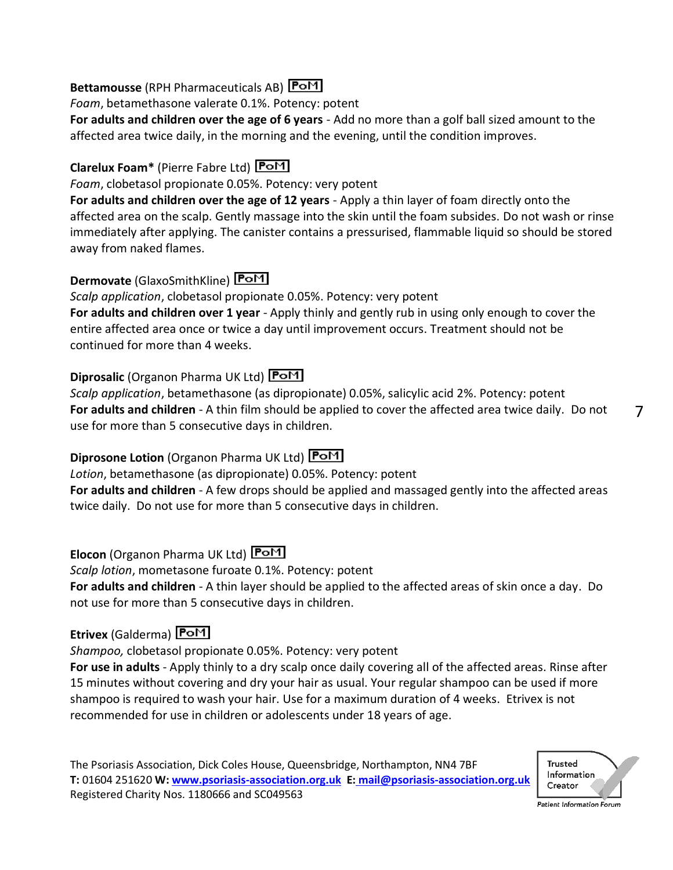#### **Bettamousse** (RPH Pharmaceuticals AB)

*Foam*, betamethasone valerate 0.1%. Potency: potent

**For adults and children over the age of 6 years** - Add no more than a golf ball sized amount to the affected area twice daily, in the morning and the evening, until the condition improves.

## **Clarelux Foam\*** (Pierre Fabre Ltd)

*Foam*, clobetasol propionate 0.05%. Potency: very potent

**For adults and children over the age of 12 years** - Apply a thin layer of foam directly onto the affected area on the scalp. Gently massage into the skin until the foam subsides. Do not wash or rinse immediately after applying. The canister contains a pressurised, flammable liquid so should be stored away from naked flames.

## **Dermovate** (GlaxoSmithKline) **PoM**

*Scalp application*, clobetasol propionate 0.05%. Potency: very potent **For adults and children over 1 year** - Apply thinly and gently rub in using only enough to cover the entire affected area once or twice a day until improvement occurs. Treatment should not be continued for more than 4 weeks.

## **Diprosalic** (Organon Pharma UK Ltd)

*Scalp application*, betamethasone (as dipropionate) 0.05%, salicylic acid 2%. Potency: potent **For adults and children** - A thin film should be applied to cover the affected area twice daily. Do not use for more than 5 consecutive days in children.

## **Diprosone Lotion** (Organon Pharma UK Ltd) **PoM**

*Lotion*, betamethasone (as dipropionate) 0.05%. Potency: potent **For adults and children** - A few drops should be applied and massaged gently into the affected areas twice daily. Do not use for more than 5 consecutive days in children.

## **Elocon** (Organon Pharma UK Ltd)

*Scalp lotion*, mometasone furoate 0.1%. Potency: potent

**For adults and children** - A thin layer should be applied to the affected areas of skin once a day. Do not use for more than 5 consecutive days in children.

## **Etrivex** (Galderma)

*Shampoo,* clobetasol propionate 0.05%. Potency: very potent

**For use in adults** - Apply thinly to a dry scalp once daily covering all of the affected areas. Rinse after 15 minutes without covering and dry your hair as usual. Your regular shampoo can be used if more shampoo is required to wash your hair. Use for a maximum duration of 4 weeks. Etrivex is not recommended for use in children or adolescents under 18 years of age.